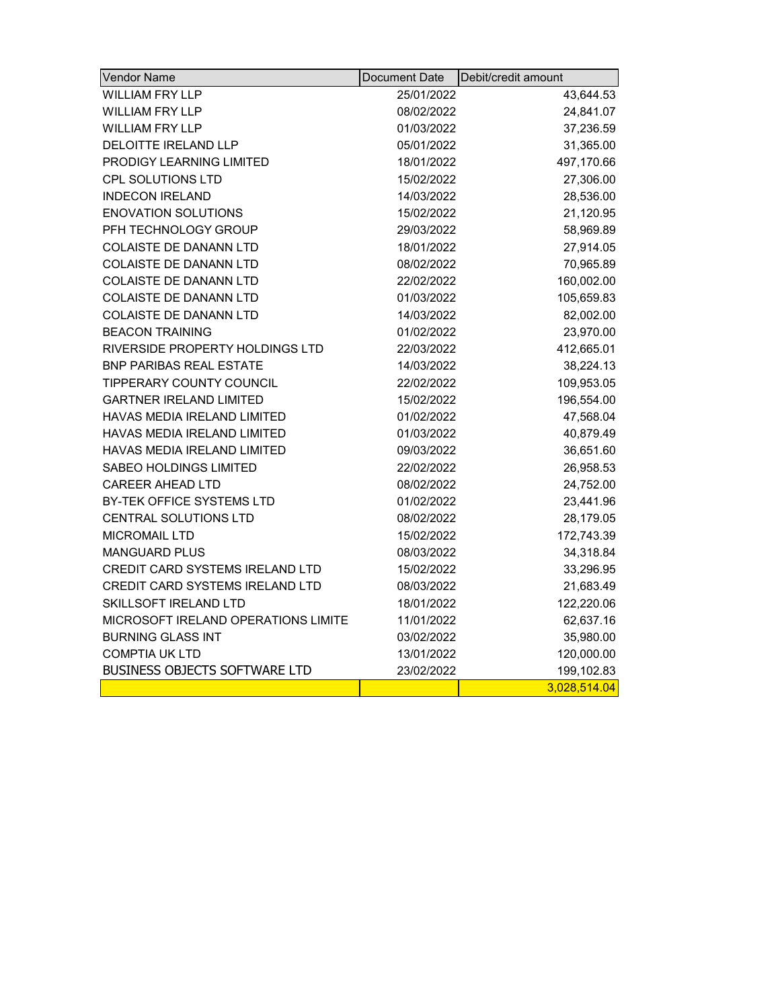| <b>Vendor Name</b>                     | Document Date | Debit/credit amount |
|----------------------------------------|---------------|---------------------|
| <b>WILLIAM FRY LLP</b>                 | 25/01/2022    | 43,644.53           |
| WILLIAM FRY LLP                        | 08/02/2022    | 24,841.07           |
| <b>WILLIAM FRY LLP</b>                 | 01/03/2022    | 37,236.59           |
| <b>DELOITTE IRELAND LLP</b>            | 05/01/2022    | 31,365.00           |
| <b>PRODIGY LEARNING LIMITED</b>        | 18/01/2022    | 497,170.66          |
| <b>CPL SOLUTIONS LTD</b>               | 15/02/2022    | 27,306.00           |
| <b>INDECON IRELAND</b>                 | 14/03/2022    | 28,536.00           |
| <b>ENOVATION SOLUTIONS</b>             | 15/02/2022    | 21,120.95           |
| PFH TECHNOLOGY GROUP                   | 29/03/2022    | 58,969.89           |
| COLAISTE DE DANANN LTD                 | 18/01/2022    | 27,914.05           |
| <b>COLAISTE DE DANANN LTD</b>          | 08/02/2022    | 70,965.89           |
| <b>COLAISTE DE DANANN LTD</b>          | 22/02/2022    | 160,002.00          |
| COLAISTE DE DANANN LTD                 | 01/03/2022    | 105,659.83          |
| COLAISTE DE DANANN LTD                 | 14/03/2022    | 82,002.00           |
| <b>BEACON TRAINING</b>                 | 01/02/2022    | 23,970.00           |
| RIVERSIDE PROPERTY HOLDINGS LTD        | 22/03/2022    | 412,665.01          |
| <b>BNP PARIBAS REAL ESTATE</b>         | 14/03/2022    | 38,224.13           |
| TIPPERARY COUNTY COUNCIL               | 22/02/2022    | 109,953.05          |
| <b>GARTNER IRELAND LIMITED</b>         | 15/02/2022    | 196,554.00          |
| <b>HAVAS MEDIA IRELAND LIMITED</b>     | 01/02/2022    | 47,568.04           |
| HAVAS MEDIA IRELAND LIMITED            | 01/03/2022    | 40,879.49           |
| HAVAS MEDIA IRELAND LIMITED            | 09/03/2022    | 36,651.60           |
| SABEO HOLDINGS LIMITED                 | 22/02/2022    | 26,958.53           |
| <b>CAREER AHEAD LTD</b>                | 08/02/2022    | 24,752.00           |
| BY-TEK OFFICE SYSTEMS LTD              | 01/02/2022    | 23,441.96           |
| CENTRAL SOLUTIONS LTD                  | 08/02/2022    | 28,179.05           |
| <b>MICROMAIL LTD</b>                   | 15/02/2022    | 172,743.39          |
| <b>MANGUARD PLUS</b>                   | 08/03/2022    | 34,318.84           |
| <b>CREDIT CARD SYSTEMS IRELAND LTD</b> | 15/02/2022    | 33,296.95           |
| CREDIT CARD SYSTEMS IRELAND LTD        | 08/03/2022    | 21,683.49           |
| <b>SKILLSOFT IRELAND LTD</b>           | 18/01/2022    | 122,220.06          |
| MICROSOFT IRELAND OPERATIONS LIMITE    | 11/01/2022    | 62,637.16           |
| <b>BURNING GLASS INT</b>               | 03/02/2022    | 35,980.00           |
| <b>COMPTIA UK LTD</b>                  | 13/01/2022    | 120,000.00          |
| <b>BUSINESS OBJECTS SOFTWARE LTD</b>   | 23/02/2022    | 199,102.83          |
|                                        |               | 3,028,514.04        |